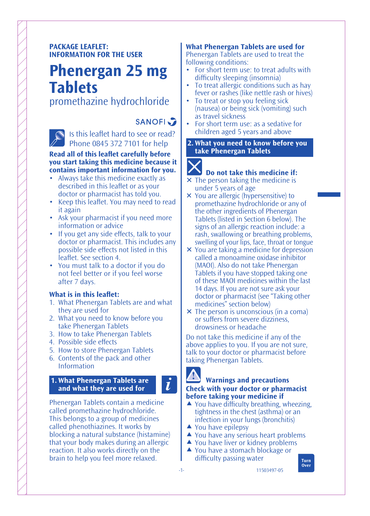# **PACKAGE LEAFLET: INFORMATION FOR THE USER**

# **Phenergan 25 mg Tablets**

promethazine hydrochloride

# **SANOFI**

Is this leaflet hard to see or read? Phone 0845 372 7101 for help

#### **Read all of this leaflet carefully before you start taking this medicine because it contains important information for you.**

- Always take this medicine exactly as described in this leaflet or as your doctor or pharmacist has told you.
- Keep this leaflet. You may need to read it again
- Ask your pharmacist if you need more information or advice
- If you get any side effects, talk to your doctor or pharmacist. This includes any possible side effects not listed in this leaflet. See section 4.
- You must talk to a doctor if you do not feel better or if you feel worse after 7 days.

# **What is in this leaflet:**

- 1. What Phenergan Tablets are and what they are used for
- 2. What you need to know before you take Phenergan Tablets
- 3. How to take Phenergan Tablets
- 4. Possible side effects
- 5. How to store Phenergan Tablets
- 6. Contents of the pack and other Information

# **1. What Phenergan Tablets are and what they are used for**

Phenergan Tablets contain a medicine called promethazine hydrochloride. This belongs to a group of medicines called phenothiazines. It works by blocking a natural substance (histamine) that your body makes during an allergic reaction. It also works directly on the brain to help you feel more relaxed.

#### **What Phenergan Tablets are used for** Phenergan Tablets are used to treat the following conditions:

- For short term use: to treat adults with difficulty sleeping (insomnia)
- To treat allergic conditions such as hay fever or rashes (like nettle rash or hives)
- To treat or stop you feeling sick (nausea) or being sick (vomiting) such as travel sickness
- For short term use: as a sedative for children aged 5 years and above
- **2. What you need to know before you take Phenergan Tablets**

# **Do not take this medicine if:**

- $\times$  The person taking the medicine is under 5 years of age
- You are allergic (hypersensitive) to promethazine hydrochloride or any of the other ingredients of Phenergan Tablets (listed in Section 6 below). The signs of an allergic reaction include: a rash, swallowing or breathing problems, swelling of your lips, face, throat or tongue
- You are taking a medicine for depression called a monoamine oxidase inhibitor (MAOI). Also do not take Phenergan Tablets if you have stopped taking one of these MAOI medicines within the last 14 days. If you are not sure ask your doctor or pharmacist (see "Taking other medicines" section below)
- $\times$  The person is unconscious (in a coma) or suffers from severe dizziness, drowsiness or headache

Do not take this medicine if any of the above applies to you. If you are not sure, talk to your doctor or pharmacist before taking Phenergan Tablets.

# **Warnings and precautions Check with your doctor or pharmacist before taking your medicine if**

- $\triangle$  You have difficulty breathing, wheezing, tightness in the chest (asthma) or an infection in your lungs (bronchitis)
- ▲ You have epilepsy
- **▲ You have any serious heart problems**

11503497-05

- ▲ You have liver or kidney problems
- **▲ You have a stomach blockage or** difficulty passing water



 $\boldsymbol{i}$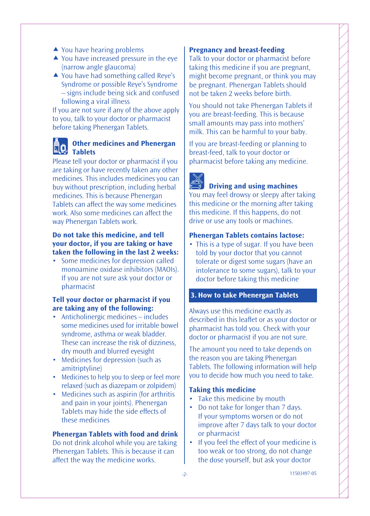- ▲ You have hearing problems
- ▲ You have increased pressure in the eve (narrow angle glaucoma)
- ▲ You have had something called Reve's Syndrome or possible Reye's Syndrome – signs include being sick and confused following a viral illness

If you are not sure if any of the above apply to you, talk to your doctor or pharmacist before taking Phenergan Tablets.

# **Other medicines and Phenergan Tablets**

Please tell your doctor or pharmacist if you are taking or have recently taken any other medicines. This includes medicines you can buy without prescription, including herbal medicines. This is because Phenergan Tablets can affect the way some medicines work. Also some medicines can affect the way Phenergan Tablets work.

#### **Do not take this medicine, and tell your doctor, if you are taking or have taken the following in the last 2 weeks:**

• Some medicines for depression called monoamine oxidase inhibitors (MAOIs). If you are not sure ask your doctor or pharmacist

# **Tell your doctor or pharmacist if you are taking any of the following:**

- Anticholinergic medicines includes some medicines used for irritable bowel syndrome, asthma or weak bladder. These can increase the risk of dizziness, dry mouth and blurred eyesight
- Medicines for depression (such as amitriptyline)
- Medicines to help you to sleep or feel more relaxed (such as diazepam or zolpidem)
- Medicines such as aspirin (for arthritis and pain in your joints). Phenergan Tablets may hide the side effects of these medicines

#### **Phenergan Tablets with food and drink**

Do not drink alcohol while you are taking Phenergan Tablets. This is because it can affect the way the medicine works.

#### **Pregnancy and breast-feeding**

Talk to your doctor or pharmacist before taking this medicine if you are pregnant, might become pregnant, or think you may be pregnant. Phenergan Tablets should not be taken 2 weeks before birth.

You should not take Phenergan Tablets if you are breast-feeding. This is because small amounts may pass into mothers' milk. This can be harmful to your baby.

If you are breast-feeding or planning to breast-feed, talk to your doctor or pharmacist before taking any medicine.

# **Driving and using machines**

You may feel drowsy or sleepy after taking this medicine or the morning after taking this medicine. If this happens, do not drive or use any tools or machines.

#### **Phenergan Tablets contains lactose:**

• This is a type of sugar. If you have been told by your doctor that you cannot tolerate or digest some sugars (have an intolerance to some sugars), talk to your doctor before taking this medicine

#### **3. How to take Phenergan Tablets**

Always use this medicine exactly as described in this leaflet or as your doctor or pharmacist has told you. Check with your doctor or pharmacist if you are not sure.

The amount you need to take depends on the reason you are taking Phenergan Tablets. The following information will help you to decide how much you need to take.

#### **Taking this medicine**

- Take this medicine by mouth
- Do not take for longer than 7 days. If your symptoms worsen or do not improve after 7 days talk to your doctor or pharmacist
- If you feel the effect of your medicine is too weak or too strong, do not change the dose yourself, but ask your doctor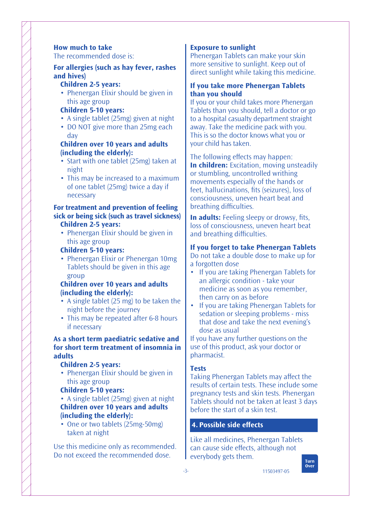# **For allergies (such as hay fever, rashes and hives)**

#### **Children 2-5 years:**

• Phenergan Elixir should be given in this age group

# **Children 5-10 years:**

- A single tablet (25mg) given at night
- DO NOT give more than 25mg each day

# **Children over 10 years and adults (including the elderly):**

- Start with one tablet (25mg) taken at night
- This may be increased to a maximum of one tablet (25mg) twice a day if necessary

#### **For treatment and prevention of feeling sick or being sick (such as travel sickness) Children 2-5 years:**

• Phenergan Elixir should be given in this age group

# **Children 5-10 years:**

• Phenergan Elixir or Phenergan 10mg Tablets should be given in this age group

# **Children over 10 years and adults (including the elderly):**

- A single tablet (25 mg) to be taken the night before the journey
- This may be repeated after 6-8 hours if necessary

# **As a short term paediatric sedative and for short term treatment of insomnia in adults**

# **Children 2-5 years:**

- Phenergan Elixir should be given in this age group
- **Children 5-10 years:**

• A single tablet (25mg) given at night **Children over 10 years and adults (including the elderly):**

• One or two tablets (25mg-50mg) taken at night

Use this medicine only as recommended. Do not exceed the recommended dose.

# **Exposure to sunlight**

Phenergan Tablets can make your skin more sensitive to sunlight. Keep out of direct sunlight while taking this medicine.

# **If you take more Phenergan Tablets than you should**

If you or your child takes more Phenergan Tablets than you should, tell a doctor or go to a hospital casualty department straight away. Take the medicine pack with you. This is so the doctor knows what you or your child has taken.

The following effects may happen: **In children:** Excitation, moving unsteadily or stumbling, uncontrolled writhing movements especially of the hands or feet, hallucinations, fits (seizures), loss of consciousness, uneven heart beat and breathing difficulties.

**In adults:** Feeling sleepy or drowsy, fits, loss of consciousness, uneven heart beat and breathing difficulties.

# **If you forget to take Phenergan Tablets**

Do not take a double dose to make up for a forgotten dose

- If you are taking Phenergan Tablets for an allergic condition - take your medicine as soon as you remember, then carry on as before
- If you are taking Phenergan Tablets for sedation or sleeping problems - miss that dose and take the next evening's dose as usual

If you have any further questions on the use of this product, ask your doctor or pharmacist.

# **Tests**

Taking Phenergan Tablets may affect the results of certain tests. These include some pregnancy tests and skin tests. Phenergan Tablets should not be taken at least 3 days before the start of a skin test.

# **4. Possible side effects**

Like all medicines, Phenergan Tablets can cause side effects, although not everybody gets them.